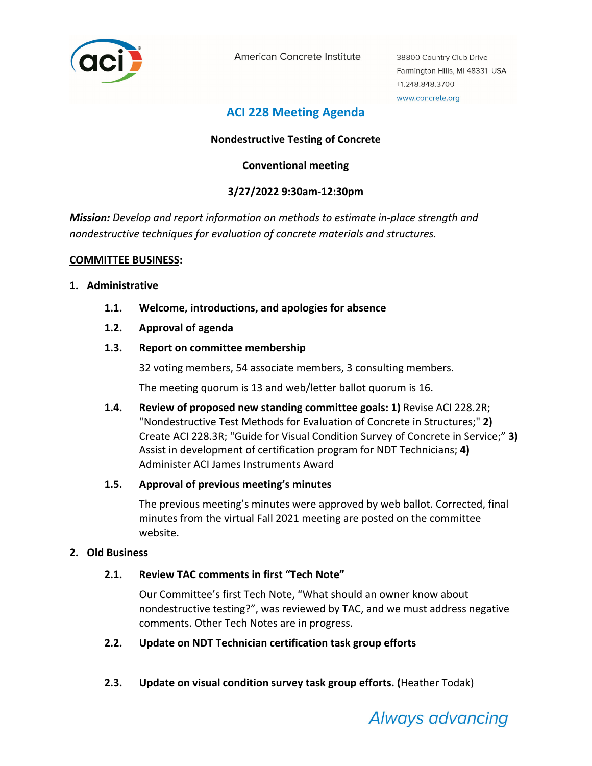

American Concrete Institute

38800 Country Club Drive Farmington Hills, MI 48331 USA +1.248.848.3700 www.concrete.org

# **ACI 228 Meeting Agenda**

# **Nondestructive Testing of Concrete**

# **Conventional meeting**

# **3/27/2022 9:30am‐12:30pm**

*Mission: Develop and report information on methods to estimate in‐place strength and nondestructive techniques for evaluation of concrete materials and structures.*

#### **COMMITTEE BUSINESS:**

#### **1. Administrative**

- **1.1. Welcome, introductions, and apologies for absence**
- **1.2. Approval of agenda**
- **1.3. Report on committee membership**

32 voting members, 54 associate members, 3 consulting members.

The meeting quorum is 13 and web/letter ballot quorum is 16.

**1.4. Review of proposed new standing committee goals: 1)** Revise ACI 228.2R; "Nondestructive Test Methods for Evaluation of Concrete in Structures;" **2)** Create ACI 228.3R; "Guide for Visual Condition Survey of Concrete in Service;" **3)** Assist in development of certification program for NDT Technicians; **4)** Administer ACI James Instruments Award

## **1.5. Approval of previous meeting's minutes**

The previous meeting's minutes were approved by web ballot. Corrected, final minutes from the virtual Fall 2021 meeting are posted on the committee website.

## **2. Old Business**

## **2.1. Review TAC comments in first "Tech Note"**

Our Committee's first Tech Note, "What should an owner know about nondestructive testing?", was reviewed by TAC, and we must address negative comments. Other Tech Notes are in progress.

- **2.2. Update on NDT Technician certification task group efforts**
- **2.3. Update on visual condition survey task group efforts. (**Heather Todak)